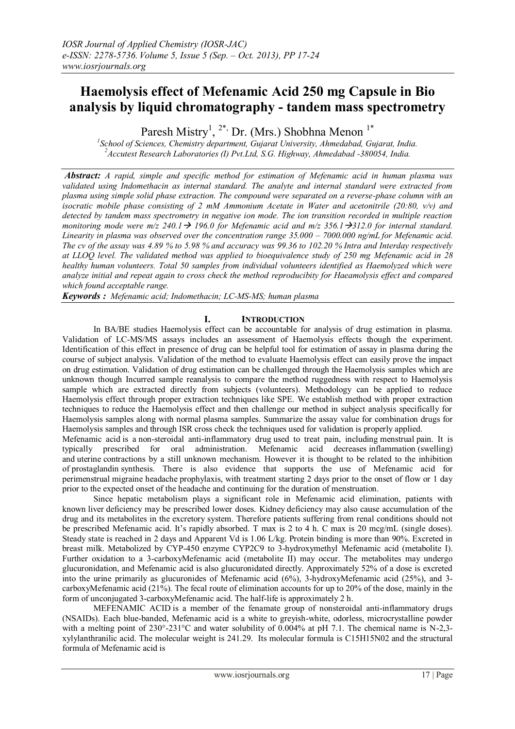# **Haemolysis effect of Mefenamic Acid 250 mg Capsule in Bio analysis by liquid chromatography - tandem mass spectrometry**

Paresh Mistry<sup>1</sup>, <sup>2\*,</sup> Dr. (Mrs.) Shobhna Menon<sup>1\*</sup>

*1 School of Sciences, Chemistry department, Gujarat University, Ahmedabad, Gujarat, India. <sup>2</sup>Accutest Research Laboratories (I) Pvt.Ltd, S.G. Highway, Ahmedabad -380054, India.*

*Abstract: A rapid, simple and specific method for estimation of Mefenamic acid in human plasma was validated using Indomethacin as internal standard. The analyte and internal standard were extracted from plasma using simple solid phase extraction. The compound were separated on a reverse-phase column with an isocratic mobile phase consisting of 2 mM Ammonium Acetate in Water and acetonitrile (20:80, v/v) and detected by tandem mass spectrometry in negative ion mode. The ion transition recorded in multiple reaction monitoring mode were m/z 240.1*  $\rightarrow$  *196.0 for Mefenamic acid and m/z 356.1*  $\rightarrow$ *312.0 for internal standard. Linearity in plasma was observed over the concentration range 35.000 – 7000.000 ng/mL for Mefenamic acid. The cv of the assay was 4.89 % to 5.98 % and accuracy was 99.36 to 102.20 % Intra and Interday respectively at LLOQ level. The validated method was applied to bioequivalence study of 250 mg Mefenamic acid in 28 healthy human volunteers. Total 50 samples from individual volunteers identified as Haemolyzed which were analyze initial and repeat again to cross check the method reproducibity for Haeamolysis effect and compared which found acceptable range.*

*Keywords : Mefenamic acid; Indomethacin; LC-MS-MS; human plasma*

# **I. INTRODUCTION**

In BA/BE studies Haemolysis effect can be accountable for analysis of drug estimation in plasma. Validation of LC-MS/MS assays includes an assessment of Haemolysis effects though the experiment. Identification of this effect in presence of drug can be helpful tool for estimation of assay in plasma during the course of subject analysis. Validation of the method to evaluate Haemolysis effect can easily prove the impact on drug estimation. Validation of drug estimation can be challenged through the Haemolysis samples which are unknown though Incurred sample reanalysis to compare the method ruggedness with respect to Haemolysis sample which are extracted directly from subjects (volunteers). Methodology can be applied to reduce Haemolysis effect through proper extraction techniques like SPE. We establish method with proper extraction techniques to reduce the Haemolysis effect and then challenge our method in subject analysis specifically for Haemolysis samples along with normal plasma samples. Summarize the assay value for combination drugs for Haemolysis samples and through ISR cross check the techniques used for validation is properly applied.

Mefenamic acid is a [non-steroidal anti-inflammatory drug](http://en.wikipedia.org/wiki/NSAID) used to treat pain, including [menstrual](http://en.wikipedia.org/wiki/Menstruation) pain. It is typically prescribed for oral administration. Mefenamic acid decreases [inflammation](http://en.wikipedia.org/wiki/Inflammation) (swelling) and [uterine](http://en.wikipedia.org/wiki/Uterus) contractions by a still unknown mechanism. However it is thought to be related to the inhibition of [prostaglandin](http://en.wikipedia.org/wiki/Prostaglandin) synthesis. There is also evidence that supports the use of Mefenamic acid for perimenstrual [migraine headache](http://en.wikipedia.org/wiki/Migraine_headache) prophylaxis, with treatment starting 2 days prior to the onset of flow or 1 day prior to the expected onset of the headache and continuing for the duration of menstruation.

Since hepatic metabolism plays a significant role in Mefenamic acid elimination, patients with known [liver](http://en.wikipedia.org/wiki/Liver) deficiency may be prescribed lower doses. [Kidney](http://en.wikipedia.org/wiki/Kidney) deficiency may also cause accumulation of the drug and its metabolites in the [excretory system.](http://en.wikipedia.org/wiki/Excretory_system) Therefore patients suffering from renal conditions should not be prescribed Mefenamic acid. It's rapidly absorbed. T max is 2 to 4 h. C max is 20 mcg/mL (single doses). Steady state is reached in 2 days and Apparent Vd is 1.06 L/kg. Protein binding is more than 90%. Excreted in breast milk. Metabolized by CYP-450 enzyme CYP2C9 to 3-hydroxymethyl Mefenamic acid (metabolite I). Further oxidation to a 3-carboxyMefenamic acid (metabolite II) may occur. The metabolites may undergo glucuronidation, and Mefenamic acid is also glucuronidated directly. Approximately 52% of a dose is excreted into the urine primarily as glucuronides of Mefenamic acid (6%), 3-hydroxyMefenamic acid (25%), and 3 carboxyMefenamic acid (21%). The fecal route of elimination accounts for up to 20% of the dose, mainly in the form of unconjugated 3-carboxyMefenamic acid. The half-life is approximately 2 h.

MEFENAMIC ACID is a member of the fenamate group of nonsteroidal anti-inflammatory drugs (NSAIDs). Each blue-banded, Mefenamic acid is a white to greyish-white, odorless, microcrystalline powder with a melting point of 230°-231°C and water solubility of 0.004% at pH 7.1. The chemical name is N-2,3xylylanthranilic acid. The molecular weight is 241.29. Its molecular formula is C15H15N02 and the structural formula of Mefenamic acid is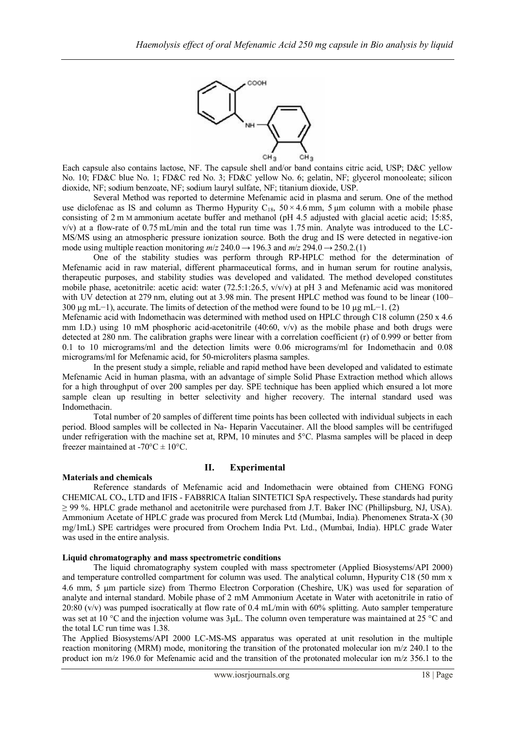

Each capsule also contains lactose, NF. The capsule shell and/or band contains citric acid, USP; D&C yellow No. 10; FD&C blue No. 1; FD&C red No. 3; FD&C yellow No. 6; gelatin, NF; glycerol monooleate; silicon dioxide, NF; sodium benzoate, NF; sodium lauryl sulfate, NF; titanium dioxide, USP.

Several Method was reported to determine Mefenamic acid in plasma and serum. One of the method use diclofenac as IS and column as Thermo Hypurity C<sub>18</sub>,  $50 \times 4.6$  mm, 5 µm column with a mobile phase consisting of 2 m M ammonium acetate buffer and methanol (pH 4.5 adjusted with glacial acetic acid; 15:85,  $v/v$ ) at a flow-rate of 0.75 mL/min and the total run time was 1.75 min. Analyte was introduced to the LC-MS/MS using an atmospheric pressure ionization source. Both the drug and IS were detected in negative-ion mode using multiple reaction monitoring  $m/z$  240.0  $\rightarrow$  196.3 and  $m/z$  294.0  $\rightarrow$  250.2.(1)

One of the stability studies was perform through RP-HPLC method for the determination of Mefenamic acid in raw material, different pharmaceutical forms, and in human serum for routine analysis, therapeutic purposes, and stability studies was developed and validated. The method developed constitutes mobile phase, acetonitrile: acetic acid: water (72.5:1:26.5,  $v/v/v$ ) at pH 3 and Mefenamic acid was monitored with UV detection at 279 nm, eluting out at 3.98 min. The present HPLC method was found to be linear (100– 300 μg mL−1), accurate. The limits of detection of the method were found to be 10 μg mL−1. (2)

Mefenamic acid with Indomethacin was determined with method used on HPLC through C18 column (250 x 4.6 mm I.D.) using 10 mM phosphoric acid-acetonitrile  $(40:60, v/v)$  as the mobile phase and both drugs were detected at 280 nm. The calibration graphs were linear with a correlation coefficient (r) of 0.999 or better from 0.1 to 10 micrograms/ml and the detection limits were 0.06 micrograms/ml for Indomethacin and 0.08 micrograms/ml for Mefenamic acid, for 50-microliters plasma samples.

In the present study a simple, reliable and rapid method have been developed and validated to estimate Mefenamic Acid in human plasma, with an advantage of simple Solid Phase Extraction method which allows for a high throughput of over 200 samples per day. SPE technique has been applied which ensured a lot more sample clean up resulting in better selectivity and higher recovery. The internal standard used was Indomethacin.

Total number of 20 samples of different time points has been collected with individual subjects in each period. Blood samples will be collected in Na- Heparin Vaccutainer. All the blood samples will be centrifuged under refrigeration with the machine set at, RPM, 10 minutes and 5°C. Plasma samples will be placed in deep freezer maintained at  $-70^{\circ}$ C  $\pm$  10°C.

#### **Materials and chemicals**

# **II. Experimental**

Reference standards of Mefenamic acid and Indomethacin were obtained from CHENG FONG CHEMICAL CO**.**, LTD and IFIS - FAB8RlCA Italian SINTETICI SpA respectively**.** These standards had purity ≥ 99 %. HPLC grade methanol and acetonitrile were purchased from J.T. Baker INC (Phillipsburg, NJ, USA). Ammonium Acetate of HPLC grade was procured from Merck Ltd (Mumbai, India). Phenomenex Strata-X (30 mg/1mL) SPE cartridges were procured from Orochem India Pvt. Ltd., (Mumbai, India). HPLC grade Water was used in the entire analysis.

#### **Liquid chromatography and mass spectrometric conditions**

The liquid chromatography system coupled with mass spectrometer (Applied Biosystems/API 2000) and temperature controlled compartment for column was used. The analytical column, Hypurity C18 (50 mm x 4.6 mm, 5 um particle size) from Thermo Electron Corporation (Cheshire, UK) was used for separation of analyte and internal standard. Mobile phase of 2 mM Ammonium Acetate in Water with acetonitrile in ratio of 20:80 (v/v) was pumped isocratically at flow rate of 0.4 mL/min with 60% splitting. Auto sampler temperature was set at 10 °C and the injection volume was  $3\mu$ . The column oven temperature was maintained at 25 °C and the total LC run time was 1.38.

The Applied Biosystems/API 2000 LC-MS-MS apparatus was operated at unit resolution in the multiple reaction monitoring (MRM) mode, monitoring the transition of the protonated molecular ion m/z 240.1 to the product ion m/z 196.0 for Mefenamic acid and the transition of the protonated molecular ion m/z 356.1 to the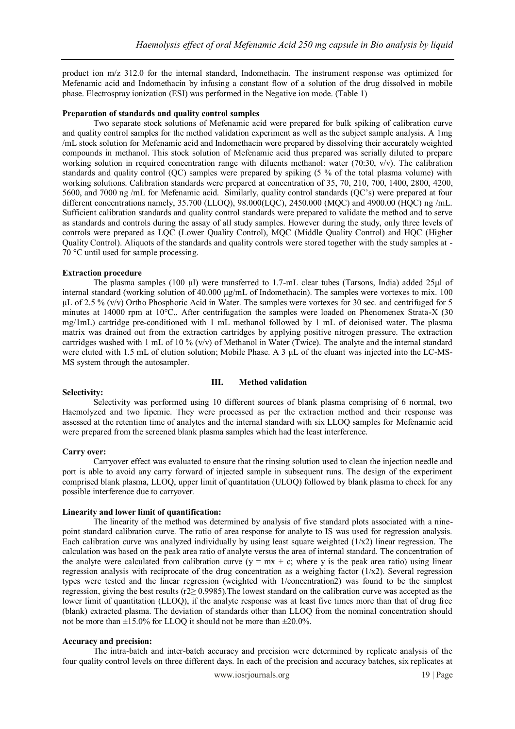product ion m/z 312.0 for the internal standard, Indomethacin. The instrument response was optimized for Mefenamic acid and Indomethacin by infusing a constant flow of a solution of the drug dissolved in mobile phase. Electrospray ionization (ESI) was performed in the Negative ion mode. (Table 1)

#### **Preparation of standards and quality control samples**

Two separate stock solutions of Mefenamic acid were prepared for bulk spiking of calibration curve and quality control samples for the method validation experiment as well as the subject sample analysis. A 1mg /mL stock solution for Mefenamic acid and Indomethacin were prepared by dissolving their accurately weighted compounds in methanol. This stock solution of Mefenamic acid thus prepared was serially diluted to prepare working solution in required concentration range with diluents methanol: water (70:30,  $v/v$ ). The calibration standards and quality control (QC) samples were prepared by spiking (5 % of the total plasma volume) with working solutions. Calibration standards were prepared at concentration of 35, 70, 210, 700, 1400, 2800, 4200, 5600, and 7000 ng /mL for Mefenamic acid. Similarly, quality control standards (QC"s) were prepared at four different concentrations namely, 35.700 (LLOQ), 98.000(LQC), 2450.000 (MQC) and 4900.00 (HQC) ng /mL. Sufficient calibration standards and quality control standards were prepared to validate the method and to serve as standards and controls during the assay of all study samples. However during the study, only three levels of controls were prepared as LQC (Lower Quality Control), MQC (Middle Quality Control) and HQC (Higher Quality Control). Aliquots of the standards and quality controls were stored together with the study samples at - 70 °C until used for sample processing.

#### **Extraction procedure**

The plasma samples (100 µl) were transferred to 1.7-mL clear tubes (Tarsons, India) added 25µl of internal standard (working solution of 40.000  $\mu$ g/mL of Indomethacin). The samples were vortexes to mix. 100 µL of 2.5 % (v/v) Ortho Phosphoric Acid in Water. The samples were vortexes for 30 sec. and centrifuged for 5 minutes at 14000 rpm at 10°C.. After centrifugation the samples were loaded on Phenomenex Strata-X (30 mg/1mL) cartridge pre-conditioned with 1 mL methanol followed by 1 mL of deionised water. The plasma matrix was drained out from the extraction cartridges by applying positive nitrogen pressure. The extraction cartridges washed with 1 mL of 10 % (v/v) of Methanol in Water (Twice). The analyte and the internal standard were eluted with 1.5 mL of elution solution; Mobile Phase. A 3 µL of the eluant was injected into the LC-MS-MS system through the autosampler.

#### **III. Method validation**

#### **Selectivity:**

Selectivity was performed using 10 different sources of blank plasma comprising of 6 normal, two Haemolyzed and two lipemic. They were processed as per the extraction method and their response was assessed at the retention time of analytes and the internal standard with six LLOQ samples for Mefenamic acid were prepared from the screened blank plasma samples which had the least interference.

#### **Carry over:**

Carryover effect was evaluated to ensure that the rinsing solution used to clean the injection needle and port is able to avoid any carry forward of injected sample in subsequent runs. The design of the experiment comprised blank plasma, LLOQ, upper limit of quantitation (ULOQ) followed by blank plasma to check for any possible interference due to carryover.

#### **Linearity and lower limit of quantification:**

The linearity of the method was determined by analysis of five standard plots associated with a ninepoint standard calibration curve. The ratio of area response for analyte to IS was used for regression analysis. Each calibration curve was analyzed individually by using least square weighted  $(1/x2)$  linear regression. The calculation was based on the peak area ratio of analyte versus the area of internal standard. The concentration of the analyte were calculated from calibration curve  $(y = mx + c$ ; where y is the peak area ratio) using linear regression analysis with reciprocate of the drug concentration as a weighing factor  $(1/x2)$ . Several regression types were tested and the linear regression (weighted with 1/concentration2) was found to be the simplest regression, giving the best results (r2≥ 0.9985).The lowest standard on the calibration curve was accepted as the lower limit of quantitation (LLOQ), if the analyte response was at least five times more than that of drug free (blank) extracted plasma. The deviation of standards other than LLOQ from the nominal concentration should not be more than  $\pm 15.0\%$  for LLOO it should not be more than  $\pm 20.0\%$ .

#### **Accuracy and precision:**

The intra-batch and inter-batch accuracy and precision were determined by replicate analysis of the four quality control levels on three different days. In each of the precision and accuracy batches, six replicates at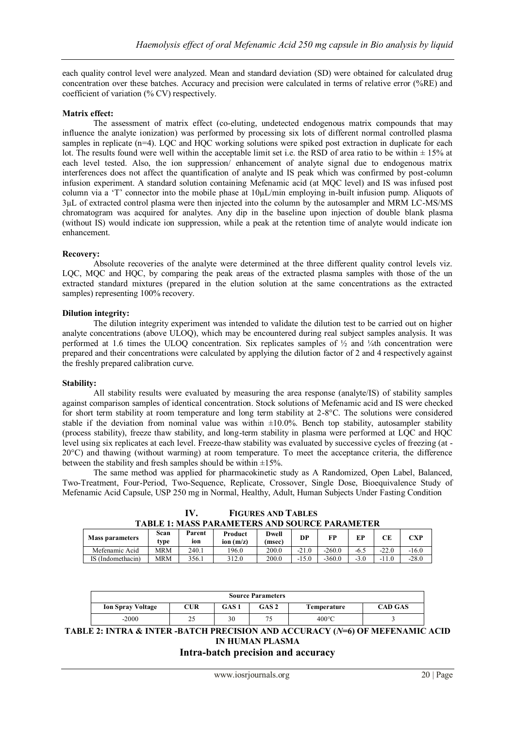each quality control level were analyzed. Mean and standard deviation (SD) were obtained for calculated drug concentration over these batches. Accuracy and precision were calculated in terms of relative error (%RE) and coefficient of variation (% CV) respectively.

# **Matrix effect:**

The assessment of matrix effect (co-eluting, undetected endogenous matrix compounds that may influence the analyte ionization) was performed by processing six lots of different normal controlled plasma samples in replicate (n=4). LOC and HOC working solutions were spiked post extraction in duplicate for each lot. The results found were well within the acceptable limit set i.e. the RSD of area ratio to be within  $\pm$  15% at each level tested. Also, the ion suppression/ enhancement of analyte signal due to endogenous matrix interferences does not affect the quantification of analyte and IS peak which was confirmed by post-column infusion experiment. A standard solution containing Mefenamic acid (at MQC level) and IS was infused post column via a "T" connector into the mobile phase at 10µL/min employing in-built infusion pump. Aliquots of 3µL of extracted control plasma were then injected into the column by the autosampler and MRM LC-MS/MS chromatogram was acquired for analytes. Any dip in the baseline upon injection of double blank plasma (without IS) would indicate ion suppression, while a peak at the retention time of analyte would indicate ion enhancement.

#### **Recovery:**

Absolute recoveries of the analyte were determined at the three different quality control levels viz. LQC, MQC and HQC, by comparing the peak areas of the extracted plasma samples with those of the un extracted standard mixtures (prepared in the elution solution at the same concentrations as the extracted samples) representing 100% recovery.

#### **Dilution integrity:**

The dilution integrity experiment was intended to validate the dilution test to be carried out on higher analyte concentrations (above ULOQ), which may be encountered during real subject samples analysis. It was performed at 1.6 times the ULOQ concentration. Six replicates samples of ½ and ¼th concentration were prepared and their concentrations were calculated by applying the dilution factor of 2 and 4 respectively against the freshly prepared calibration curve.

#### **Stability:**

All stability results were evaluated by measuring the area response (analyte/IS) of stability samples against comparison samples of identical concentration. Stock solutions of Mefenamic acid and IS were checked for short term stability at room temperature and long term stability at 2-8°C. The solutions were considered stable if the deviation from nominal value was within  $\pm 10.0\%$ . Bench top stability, autosampler stability (process stability), freeze thaw stability, and long-term stability in plasma were performed at LQC and HQC level using six replicates at each level. Freeze-thaw stability was evaluated by successive cycles of freezing (at - 20°C) and thawing (without warming) at room temperature. To meet the acceptance criteria, the difference between the stability and fresh samples should be within  $\pm 15\%$ .

The same method was applied for pharmacokinetic study as A Randomized, Open Label, Balanced, Two-Treatment, Four-Period, Two-Sequence, Replicate, Crossover, Single Dose, Bioequivalence Study of Mefenamic Acid Capsule, USP 250 mg in Normal, Healthy, Adult, Human Subjects Under Fasting Condition

**IV. FIGURES AND TABLES TABLE 1: MASS PARAMETERS AND SOURCE PARAMETER**

| <b>Mass parameters</b> | Scan<br>tvpe | Parent<br>ion | Product<br>ion $(m/z)$ | Dwell<br>(msec) | DP      | FP       |      | CЕ      | CXP.    |
|------------------------|--------------|---------------|------------------------|-----------------|---------|----------|------|---------|---------|
| Mefenamic Acid         | MRM          | 240.1         | 196.0                  | 200.0           | $-21.0$ | $-260.0$ | -6.1 | $-22.0$ | $-16.0$ |
| IS (Indomethacin)      | MRM          | 356.1         | 312.0                  | 200.0           | $-15.0$ | $-360.0$ | - 7  | -       | $-28.0$ |

| <b>Source Parameters</b> |     |       |                  |                 |                |  |  |
|--------------------------|-----|-------|------------------|-----------------|----------------|--|--|
| <b>Ion Spray Voltage</b> | CUR | GAS 1 | GAS <sub>2</sub> | Temperature     | <b>CAD GAS</b> |  |  |
| $-2000$                  | ت ک | 30    | 75               | $400^{\circ}$ C |                |  |  |

**TABLE 2: INTRA & INTER -BATCH PRECISION AND ACCURACY (***N***=6) OF MEFENAMIC ACID IN HUMAN PLASMA**

# **Intra-batch precision and accuracy**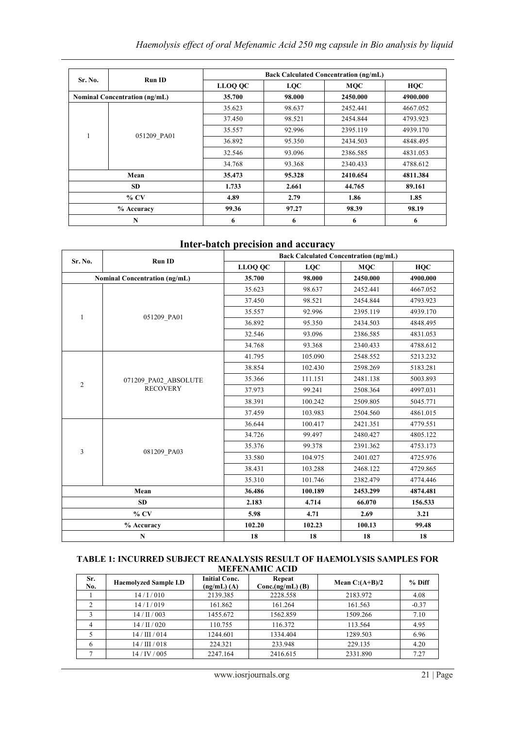|                                      |               | <b>Back Calculated Concentration (ng/mL)</b> |            |            |            |  |  |
|--------------------------------------|---------------|----------------------------------------------|------------|------------|------------|--|--|
| Sr. No.                              | <b>Run ID</b> | <b>LLOQ QC</b>                               | <b>LQC</b> | <b>MOC</b> | <b>HOC</b> |  |  |
| <b>Nominal Concentration (ng/mL)</b> |               | 35.700                                       | 98.000     | 2450.000   | 4900.000   |  |  |
|                                      |               | 35.623                                       | 98.637     | 2452.441   | 4667.052   |  |  |
|                                      |               | 37.450                                       | 98.521     | 2454.844   | 4793.923   |  |  |
| 1                                    | 051209 PA01   | 35.557                                       | 92.996     | 2395.119   | 4939.170   |  |  |
|                                      |               | 36.892                                       | 95.350     | 2434.503   | 4848.495   |  |  |
|                                      |               | 32.546                                       | 93.096     | 2386.585   | 4831.053   |  |  |
|                                      |               | 34.768                                       | 93.368     | 2340.433   | 4788.612   |  |  |
| Mean                                 |               | 35.473                                       | 95.328     | 2410.654   | 4811.384   |  |  |
| <b>SD</b>                            |               | 1.733                                        | 2.661      | 44.765     | 89.161     |  |  |
| $%$ CV                               |               | 4.89                                         | 2.79       | 1.86       | 1.85       |  |  |
| % Accuracy                           |               | 99.36                                        | 97.27      | 98.39      | 98.19      |  |  |
| N                                    |               | 6                                            | 6          | 6          | 6          |  |  |

# **Inter-batch precision and accuracy**

| Sr. No.                              | Run ID                                  | <b>Back Calculated Concentration (ng/mL)</b> |            |            |            |  |
|--------------------------------------|-----------------------------------------|----------------------------------------------|------------|------------|------------|--|
|                                      |                                         | LLOO OC                                      | <b>LOC</b> | <b>MOC</b> | <b>HQC</b> |  |
| <b>Nominal Concentration (ng/mL)</b> |                                         | 35.700                                       | 98.000     | 2450.000   | 4900.000   |  |
|                                      |                                         | 35.623                                       | 98.637     | 2452.441   | 4667.052   |  |
|                                      |                                         | 37.450                                       | 98.521     | 2454.844   | 4793.923   |  |
| $\mathbf{1}$                         |                                         | 35.557                                       | 92.996     | 2395.119   | 4939.170   |  |
|                                      | 051209 PA01                             | 36.892                                       | 95.350     | 2434.503   | 4848.495   |  |
|                                      |                                         | 32.546                                       | 93.096     | 2386.585   | 4831.053   |  |
|                                      |                                         | 34.768                                       | 93.368     | 2340.433   | 4788.612   |  |
|                                      |                                         | 41.795                                       | 105.090    | 2548.552   | 5213.232   |  |
|                                      |                                         | 38.854                                       | 102.430    | 2598.269   | 5183.281   |  |
| $\overline{2}$                       | 071209_PA02_ABSOLUTE<br><b>RECOVERY</b> | 35.366                                       | 111.151    | 2481.138   | 5003.893   |  |
|                                      |                                         | 37.973                                       | 99.241     | 2508.364   | 4997.031   |  |
|                                      |                                         | 38.391                                       | 100.242    | 2509.805   | 5045.771   |  |
|                                      |                                         | 37.459                                       | 103.983    | 2504.560   | 4861.015   |  |
|                                      |                                         | 36.644                                       | 100.417    | 2421.351   | 4779.551   |  |
|                                      |                                         | 34.726                                       | 99.497     | 2480.427   | 4805.122   |  |
| 3                                    |                                         | 35.376                                       | 99.378     | 2391.362   | 4753.173   |  |
|                                      | 081209 PA03                             | 33.580                                       | 104.975    | 2401.027   | 4725.976   |  |
|                                      |                                         | 38.431                                       | 103.288    | 2468.122   | 4729.865   |  |
|                                      |                                         | 35.310                                       | 101.746    | 2382.479   | 4774.446   |  |
| Mean                                 |                                         | 36.486                                       | 100.189    | 2453.299   | 4874.481   |  |
| <b>SD</b>                            |                                         | 2.183                                        | 4.714      | 66.070     | 156.533    |  |
| $%$ CV                               |                                         | 5.98                                         | 4.71       | 2.69       | 3.21       |  |
| % Accuracy                           |                                         | 102.20                                       | 102.23     | 100.13     | 99.48      |  |
| N                                    |                                         | 18                                           | 18         | 18         | 18         |  |

#### **TABLE 1: INCURRED SUBJECT REANALYSIS RESULT OF HAEMOLYSIS SAMPLES FOR MEFENAMIC ACID**

| Sr.<br>No. | <b>Haemolyzed Sample I.D</b> | <b>Initial Conc.</b><br>$(ng/mL)$ (A) | Repeat<br>$Conc.(ng/mL)$ (B) | Mean $C:(A+B)/2$ | % Diff  |
|------------|------------------------------|---------------------------------------|------------------------------|------------------|---------|
|            | 14/1/010                     | 2139.385                              | 2228.558                     | 2183.972         | 4.08    |
|            | 14/1/019                     | 161.862                               | 161.264                      | 161.563          | $-0.37$ |
| 3          | 14/II/003                    | 1455.672                              | 1562.859                     | 1509.266         | 7.10    |
| 4          | $14/$ II $/$ 020             | 110.755                               | 116.372                      | 113.564          | 4.95    |
|            | 14/III/014                   | 1244.601                              | 1334.404                     | 1289.503         | 6.96    |
| 6          | 14/III/018                   | 224.321                               | 233.948                      | 229.135          | 4.20    |
|            | 14/IV/005                    | 2247.164                              | 2416.615                     | 2331.890         | 7.27    |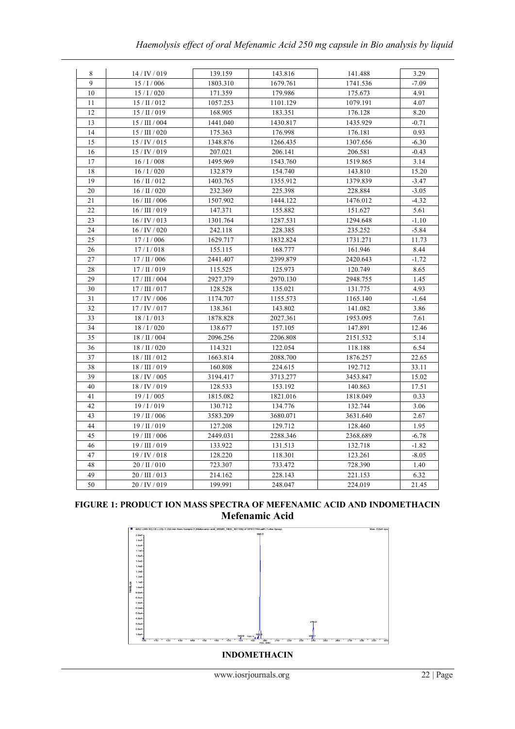| 139.159<br>143.816<br>8<br>14/IV/019<br>141.488<br>3.29<br>9<br>$15/$ I / $006$<br>1803.310<br>1679.761<br>1741.536<br>$-7.09$<br>10<br>171.359<br>179.986<br>175.673<br>4.91<br>15/1/020<br>11<br>$15/$ II $/$ 012<br>1057.253<br>1101.129<br>1079.191<br>4.07<br>12<br>$15/$ II $/$ 019<br>168.905<br>183.351<br>176.128<br>8.20<br>13<br>15 / III / 004<br>1441.040<br>1430.817<br>1435.929<br>$-0.71$<br>14<br>15 / III / 020<br>0.93<br>175.363<br>176.998<br>176.181<br>15<br>15/IV/015<br>1348.876<br>1307.656<br>1266.435<br>$-6.30$<br>15/IV/019<br>207.021<br>206.581<br>16<br>206.141<br>$-0.43$<br>17<br>16/1/008<br>1495.969<br>1543.760<br>1519.865 | 3.14 |
|-------------------------------------------------------------------------------------------------------------------------------------------------------------------------------------------------------------------------------------------------------------------------------------------------------------------------------------------------------------------------------------------------------------------------------------------------------------------------------------------------------------------------------------------------------------------------------------------------------------------------------------------------------------------|------|
|                                                                                                                                                                                                                                                                                                                                                                                                                                                                                                                                                                                                                                                                   |      |
|                                                                                                                                                                                                                                                                                                                                                                                                                                                                                                                                                                                                                                                                   |      |
|                                                                                                                                                                                                                                                                                                                                                                                                                                                                                                                                                                                                                                                                   |      |
|                                                                                                                                                                                                                                                                                                                                                                                                                                                                                                                                                                                                                                                                   |      |
|                                                                                                                                                                                                                                                                                                                                                                                                                                                                                                                                                                                                                                                                   |      |
|                                                                                                                                                                                                                                                                                                                                                                                                                                                                                                                                                                                                                                                                   |      |
|                                                                                                                                                                                                                                                                                                                                                                                                                                                                                                                                                                                                                                                                   |      |
|                                                                                                                                                                                                                                                                                                                                                                                                                                                                                                                                                                                                                                                                   |      |
|                                                                                                                                                                                                                                                                                                                                                                                                                                                                                                                                                                                                                                                                   |      |
|                                                                                                                                                                                                                                                                                                                                                                                                                                                                                                                                                                                                                                                                   |      |
| 18<br>16/1/020<br>132.879<br>154.740<br>143.810<br>15.20                                                                                                                                                                                                                                                                                                                                                                                                                                                                                                                                                                                                          |      |
| 19<br>$16/$ II / 012<br>1355.912<br>1403.765<br>1379.839<br>$-3.47$                                                                                                                                                                                                                                                                                                                                                                                                                                                                                                                                                                                               |      |
| 20<br>$16/$ II $/$ 020<br>232.369<br>225.398<br>228.884<br>$-3.05$                                                                                                                                                                                                                                                                                                                                                                                                                                                                                                                                                                                                |      |
| 21<br>$16$ / III / $006$<br>1444.122<br>$-4.32$<br>1507.902<br>1476.012                                                                                                                                                                                                                                                                                                                                                                                                                                                                                                                                                                                           |      |
| 22<br>$16/$ III $/$ 019<br>155.882<br>151.627<br>147.371<br>5.61                                                                                                                                                                                                                                                                                                                                                                                                                                                                                                                                                                                                  |      |
| 16/IV/013<br>23<br>1301.764<br>1287.531<br>1294.648<br>$-1.10$                                                                                                                                                                                                                                                                                                                                                                                                                                                                                                                                                                                                    |      |
| 24<br>16 / IV / 020<br>242.118<br>228.385<br>235.252<br>$-5.84$                                                                                                                                                                                                                                                                                                                                                                                                                                                                                                                                                                                                   |      |
| 25<br>1731.271<br>$17/$ I / 006<br>1629.717<br>1832.824<br>11.73                                                                                                                                                                                                                                                                                                                                                                                                                                                                                                                                                                                                  |      |
| 26<br>17/1/018<br>155.115<br>168.777<br>161.946<br>8.44                                                                                                                                                                                                                                                                                                                                                                                                                                                                                                                                                                                                           |      |
| 27<br>$17/$ II / 006<br>2441.407<br>2399.879<br>2420.643<br>$-1.72$                                                                                                                                                                                                                                                                                                                                                                                                                                                                                                                                                                                               |      |
| 28<br>$17/$ II $/$ 019<br>115.525<br>125.973<br>120.749<br>8.65                                                                                                                                                                                                                                                                                                                                                                                                                                                                                                                                                                                                   |      |
| 17 / III / 004<br>2927.379<br>2970.130<br>2948.755<br>29<br>1.45                                                                                                                                                                                                                                                                                                                                                                                                                                                                                                                                                                                                  |      |
| $17/$ III / 017<br>30<br>128.528<br>135.021<br>131.775<br>4.93                                                                                                                                                                                                                                                                                                                                                                                                                                                                                                                                                                                                    |      |
| 31<br>17/IV/006<br>1174.707<br>1155.573<br>1165.140<br>$-1.64$                                                                                                                                                                                                                                                                                                                                                                                                                                                                                                                                                                                                    |      |
| 32<br>17/IV/017<br>138.361<br>143.802<br>141.082<br>3.86                                                                                                                                                                                                                                                                                                                                                                                                                                                                                                                                                                                                          |      |
| 33<br>18/1/013<br>1878.828<br>2027.361<br>1953.095<br>7.61                                                                                                                                                                                                                                                                                                                                                                                                                                                                                                                                                                                                        |      |
| 34<br>18/1/020<br>138.677<br>157.105<br>147.891<br>12.46                                                                                                                                                                                                                                                                                                                                                                                                                                                                                                                                                                                                          |      |
| 35<br>$18/$ II / 004<br>2096.256<br>2206.808<br>2151.532<br>5.14                                                                                                                                                                                                                                                                                                                                                                                                                                                                                                                                                                                                  |      |
| $18/$ II / 020<br>36<br>114.321<br>122.054<br>118.188<br>6.54                                                                                                                                                                                                                                                                                                                                                                                                                                                                                                                                                                                                     |      |
| 37<br>18/III/012<br>1663.814<br>1876.257<br>2088.700<br>22.65                                                                                                                                                                                                                                                                                                                                                                                                                                                                                                                                                                                                     |      |
| 38<br>18/III/019<br>192.712<br>160.808<br>224.615<br>33.11                                                                                                                                                                                                                                                                                                                                                                                                                                                                                                                                                                                                        |      |
| 39<br>18/IV/005<br>3194.417<br>3713.277<br>3453.847<br>15.02                                                                                                                                                                                                                                                                                                                                                                                                                                                                                                                                                                                                      |      |
| 40<br>18/IV/019<br>128.533<br>153.192<br>140.863<br>17.51                                                                                                                                                                                                                                                                                                                                                                                                                                                                                                                                                                                                         |      |
| 41<br>19/1/005<br>1815.082<br>1821.016<br>1818.049<br>0.33                                                                                                                                                                                                                                                                                                                                                                                                                                                                                                                                                                                                        |      |
| 42<br>19/1/019<br>130.712<br>134.776<br>132.744<br>3.06                                                                                                                                                                                                                                                                                                                                                                                                                                                                                                                                                                                                           |      |
| 43<br>19 / II / 006<br>3583.209<br>3631.640<br>3680.071<br>2.67                                                                                                                                                                                                                                                                                                                                                                                                                                                                                                                                                                                                   |      |
| $19/$ II / 019<br>44<br>127.208<br>129.712<br>128.460<br>1.95                                                                                                                                                                                                                                                                                                                                                                                                                                                                                                                                                                                                     |      |
| 45<br>19 / III / 006<br>2288.346<br>2368.689<br>2449.031<br>$-6.78$                                                                                                                                                                                                                                                                                                                                                                                                                                                                                                                                                                                               |      |
| 46<br>19/III/019<br>133.922<br>131.513<br>132.718<br>$-1.82$                                                                                                                                                                                                                                                                                                                                                                                                                                                                                                                                                                                                      |      |
| 47<br>19/IV/018<br>128.220<br>118.301<br>123.261<br>$-8.05$                                                                                                                                                                                                                                                                                                                                                                                                                                                                                                                                                                                                       |      |
| 48<br>$20/$ II / 010<br>723.307<br>733.472<br>728.390<br>1.40                                                                                                                                                                                                                                                                                                                                                                                                                                                                                                                                                                                                     |      |
| 49<br>20 / III / 013<br>214.162<br>228.143<br>221.153<br>6.32                                                                                                                                                                                                                                                                                                                                                                                                                                                                                                                                                                                                     |      |
| 50<br>20 / IV / 019<br>199.991<br>248.047<br>224.019<br>21.45                                                                                                                                                                                                                                                                                                                                                                                                                                                                                                                                                                                                     |      |

# **FIGURE 1: PRODUCT ION MASS SPECTRA OF MEFENAMIC ACID AND INDOMETHACIN Mefenamic Acid**



**INDOMETHACIN**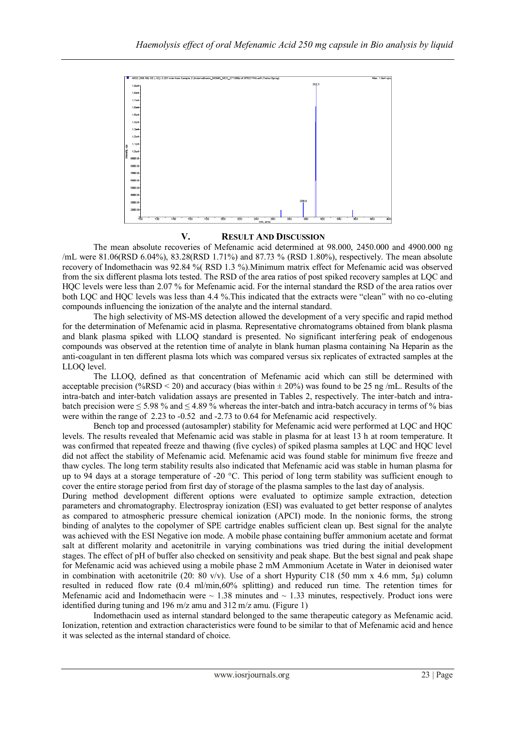

### **V. RESULT AND DISCUSSION**

The mean absolute recoveries of Mefenamic acid determined at 98.000, 2450.000 and 4900.000 ng /mL were 81.06(RSD 6.04%), 83.28(RSD 1.71%) and 87.73 % (RSD 1.80%), respectively. The mean absolute recovery of Indomethacin was 92.84 %( RSD 1.3 %).Minimum matrix effect for Mefenamic acid was observed from the six different plasma lots tested. The RSD of the area ratios of post spiked recovery samples at LQC and HQC levels were less than 2.07 % for Mefenamic acid. For the internal standard the RSD of the area ratios over both LQC and HQC levels was less than 4.4 %.This indicated that the extracts were "clean" with no co-eluting compounds influencing the ionization of the analyte and the internal standard.

The high selectivity of MS-MS detection allowed the development of a very specific and rapid method for the determination of Mefenamic acid in plasma. Representative chromatograms obtained from blank plasma and blank plasma spiked with LLOQ standard is presented. No significant interfering peak of endogenous compounds was observed at the retention time of analyte in blank human plasma containing Na Heparin as the anti-coagulant in ten different plasma lots which was compared versus six replicates of extracted samples at the LLOQ level.

The LLOQ, defined as that concentration of Mefenamic acid which can still be determined with acceptable precision (%RSD < 20) and accuracy (bias within  $\pm$  20%) was found to be 25 ng/mL. Results of the intra-batch and inter-batch validation assays are presented in Tables 2, respectively. The inter-batch and intrabatch precision were  $\leq 5.98$  % and  $\leq 4.89$  % whereas the inter-batch and intra-batch accuracy in terms of % bias were within the range of 2.23 to -0.52 and -2.73 to 0.64 for Mefenamic acid respectively.

Bench top and processed (autosampler) stability for Mefenamic acid were performed at LQC and HQC levels. The results revealed that Mefenamic acid was stable in plasma for at least 13 h at room temperature. It was confirmed that repeated freeze and thawing (five cycles) of spiked plasma samples at LQC and HQC level did not affect the stability of Mefenamic acid. Mefenamic acid was found stable for minimum five freeze and thaw cycles. The long term stability results also indicated that Mefenamic acid was stable in human plasma for up to 94 days at a storage temperature of -20 °C. This period of long term stability was sufficient enough to cover the entire storage period from first day of storage of the plasma samples to the last day of analysis.

During method development different options were evaluated to optimize sample extraction, detection parameters and chromatography. Electrospray ionization (ESI) was evaluated to get better response of analytes as compared to atmospheric pressure chemical ionization (APCI) mode. In the nonionic forms, the strong binding of analytes to the copolymer of SPE cartridge enables sufficient clean up. Best signal for the analyte was achieved with the ESI Negative ion mode. A mobile phase containing buffer ammonium acetate and format salt at different molarity and acetonitrile in varying combinations was tried during the initial development stages. The effect of pH of buffer also checked on sensitivity and peak shape. But the best signal and peak shape for Mefenamic acid was achieved using a mobile phase 2 mM Ammonium Acetate in Water in deionised water in combination with acetonitrile (20: 80 v/v). Use of a short Hypurity C18 (50 mm x 4.6 mm, 5µ) column resulted in reduced flow rate (0.4 ml/min,60% splitting) and reduced run time. The retention times for Mefenamic acid and Indomethacin were  $\sim 1.38$  minutes and  $\sim 1.33$  minutes, respectively. Product ions were identified during tuning and 196 m/z amu and 312 m/z amu. (Figure 1)

Indomethacin used as internal standard belonged to the same therapeutic category as Mefenamic acid. Ionization, retention and extraction characteristics were found to be similar to that of Mefenamic acid and hence it was selected as the internal standard of choice.